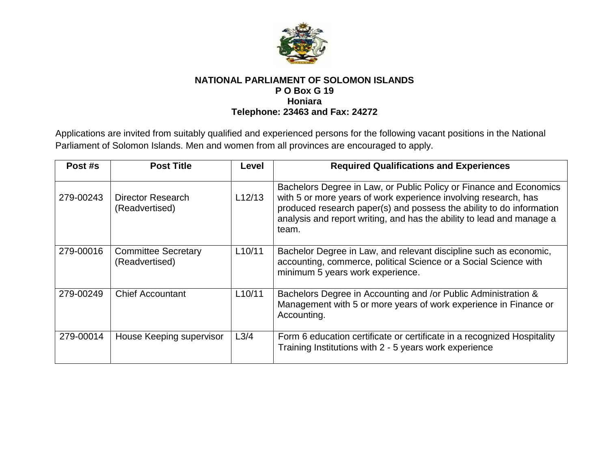

## **NATIONAL PARLIAMENT OF SOLOMON ISLANDS P O Box G 19 Honiara Telephone: 23463 and Fax: 24272**

Applications are invited from suitably qualified and experienced persons for the following vacant positions in the National Parliament of Solomon Islands. Men and women from all provinces are encouraged to apply.

| Post #s   | <b>Post Title</b>                            | Level               | <b>Required Qualifications and Experiences</b>                                                                                                                                                                                                                                                  |
|-----------|----------------------------------------------|---------------------|-------------------------------------------------------------------------------------------------------------------------------------------------------------------------------------------------------------------------------------------------------------------------------------------------|
| 279-00243 | Director Research<br>(Readvertised)          | L12/13              | Bachelors Degree in Law, or Public Policy or Finance and Economics<br>with 5 or more years of work experience involving research, has<br>produced research paper(s) and possess the ability to do information<br>analysis and report writing, and has the ability to lead and manage a<br>team. |
| 279-00016 | <b>Committee Secretary</b><br>(Readvertised) | L10/11              | Bachelor Degree in Law, and relevant discipline such as economic,<br>accounting, commerce, political Science or a Social Science with<br>minimum 5 years work experience.                                                                                                                       |
| 279-00249 | <b>Chief Accountant</b>                      | L <sub>10</sub> /11 | Bachelors Degree in Accounting and /or Public Administration &<br>Management with 5 or more years of work experience in Finance or<br>Accounting.                                                                                                                                               |
| 279-00014 | House Keeping supervisor                     | L <sub>3/4</sub>    | Form 6 education certificate or certificate in a recognized Hospitality<br>Training Institutions with 2 - 5 years work experience                                                                                                                                                               |